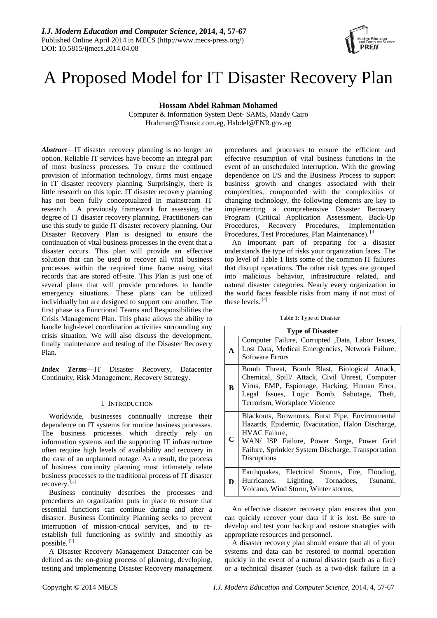

# A Proposed Model for IT Disaster Recovery Plan

**Hossam Abdel Rahman Mohamed** 

Computer & Information System Dept- SAMS, Maady Cairo Hrahman@Transit.com.eg, Habdel@ENR.gov.eg

*Abstract*—IT disaster recovery planning is no longer an option. Reliable IT services have become an integral part of most business processes. To ensure the continued provision of information technology, firms must engage in IT disaster recovery planning. Surprisingly, there is little research on this topic. IT disaster recovery planning has not been fully conceptualized in mainstream IT research. A previously framework for assessing the degree of IT disaster recovery planning. Practitioners can use this study to guide IT disaster recovery planning. Our Disaster Recovery Plan is designed to ensure the continuation of vital business processes in the event that a disaster occurs. This plan will provide an effective solution that can be used to recover all vital business processes within the required time frame using vital records that are stored off-site. This Plan is just one of several plans that will provide procedures to handle emergency situations. These plans can be utilized individually but are designed to support one another. The first phase is a Functional Teams and Responsibilities the Crisis Management Plan. This phase allows the ability to handle high-level coordination activities surrounding any crisis situation. We will also discuss the development, finally maintenance and testing of the Disaster Recovery Plan.

*Index Terms*—IT Disaster Recovery, Datacenter Continuity, Risk Management, Recovery Strategy.

## I. INTRODUCTION

Worldwide, businesses continually increase their dependence on IT systems for routine business processes. The business processes which directly rely on information systems and the supporting IT infrastructure often require high levels of availability and recovery in the case of an unplanned outage. As a result, the process of business continuity planning must intimately relate business processes to the traditional process of IT disaster recovery. [1]

Business continuity describes the processes and procedures an organization puts in place to ensure that essential functions can continue during and after a disaster. Business Continuity Planning seeks to prevent interruption of mission-critical services, and to reestablish full functioning as swiftly and smoothly as possible. [2]

A Disaster Recovery Management Datacenter can be defined as the on-going process of planning, developing, testing and implementing Disaster Recovery management procedures and processes to ensure the efficient and effective resumption of vital business functions in the event of an unscheduled interruption. With the growing dependence on I/S and the Business Process to support business growth and changes associated with their complexities, compounded with the complexities of changing technology, the following elements are key to implementing a comprehensive Disaster Recovery Program (Critical Application Assessment, Back-Up Procedures, Recovery Procedures, Implementation Procedures, Test Procedures, Plan Maintenance). [3]

An important part of preparing for a disaster understands the type of risks your organization faces. The top level of Table 1 lists some of the common IT failures that disrupt operations. The other risk types are grouped into malicious behavior, infrastructure related, and natural disaster categories. Nearly every organization in the world faces feasible risks from many if not most of these levels. [4]

|  |  |  |  | Table 1: Type of Disaster |
|--|--|--|--|---------------------------|
|--|--|--|--|---------------------------|

| <b>Type of Disaster</b> |                                                                                                                                                                                                                                         |  |  |  |  |
|-------------------------|-----------------------------------------------------------------------------------------------------------------------------------------------------------------------------------------------------------------------------------------|--|--|--|--|
| A                       | Computer Failure, Corrupted , Data, Labor Issues,<br>Lost Data, Medical Emergencies, Network Failure,<br><b>Software Errors</b>                                                                                                         |  |  |  |  |
| B                       | Bomb Threat, Bomb Blast, Biological Attack,<br>Chemical, Spill/ Attack, Civil Unrest, Computer<br>Virus, EMP, Espionage, Hacking, Human Error,<br>Legal Issues, Logic Bomb, Sabotage, Theft,<br>Terrorism, Workplace Violence           |  |  |  |  |
| C                       | Blackouts, Brownouts, Burst Pipe, Environmental<br>Hazards, Epidemic, Evacutation, Halon Discharge,<br>HVAC Failure,<br>WAN/ ISP Failure, Power Surge, Power Grid<br>Failure, Sprinkler System Discharge, Transportation<br>Disruptions |  |  |  |  |
| D                       | Earthquakes, Electrical Storms, Fire, Flooding,<br>Hurricanes, Lighting, Tornadoes, Tsunami,<br>Volcano, Wind Storm, Winter storms,                                                                                                     |  |  |  |  |

An effective disaster recovery plan ensures that you can quickly recover your data if it is lost. Be sure to develop and test your backup and restore strategies with appropriate resources and personnel.

A disaster recovery plan should ensure that all of your systems and data can be restored to normal operation quickly in the event of a natural disaster (such as a fire) or a technical disaster (such as a two-disk failure in a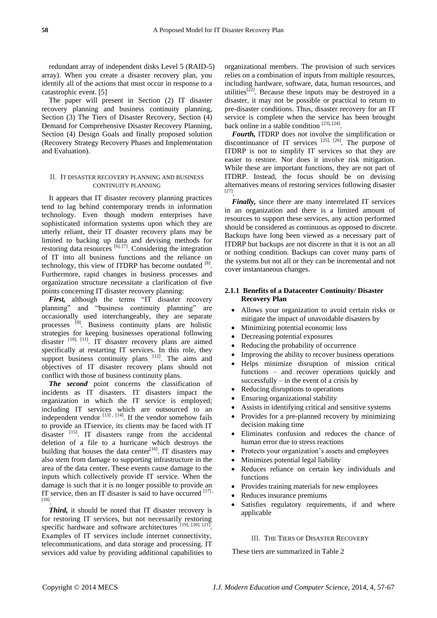redundant array of independent disks Level 5 (RAID-5) array). When you create a disaster recovery plan, you identify all of the actions that must occur in response to a catastrophic event. [5]

The paper will present in Section (2) IT disaster recovery planning and business continuity planning, Section (3) The Tiers of Disaster Recovery, Section (4) Demand for Comprehensive Disaster Recovery Planning, Section (4) Design Goals and finally proposed solution (Recovery Strategy Recovery Phases and Implementation and Evaluation).

#### II. IT DISASTER RECOVERY PLANNING AND BUSINESS CONTINUITY PLANNING

It appears that IT disaster recovery planning practices tend to lag behind contemporary trends in information technology. Even though modern enterprises have sophisticated information systems upon which they are utterly reliant, their IT disaster recovery plans may be limited to backing up data and devising methods for restoring data resources  $[6]$ ,  $[7]$ . Considering the integration of IT into all business functions and the reliance on technology, this view of ITDRP has become outdated  $[8]$ . Furthermore, rapid changes in business processes and organization structure necessitate a clarification of five points concerning IT disaster recovery planning:

First, although the terms "IT disaster recovery planning" and "business continuity planning" are occasionally used interchangeably, they are separate processes [9]. Business continuity plans are holistic strategies for keeping businesses operational following disaster [10], [11]. IT disaster recovery plans are aimed specifically at restarting IT services. In this role, they support business continuity plans [12]. The aims and objectives of IT disaster recovery plans should not conflict with those of business continuity plans.

*The second* point concerns the classification of incidents as IT disasters. IT disasters impact the organization in which the IT service is employed; including IT services which are outsourced to an independent vendor  $^{[13]}$ ,  $^{[14]}$ . If the vendor somehow fails to provide an ITservice, its clients may be faced with IT disaster  $^{[15]}$ . IT disasters range from the accidental deletion of a file to a hurricane which destroys the building that houses the data center $[16]$ . IT disasters may also stem from damage to supporting infrastructure in the area of the data center. These events cause damage to the inputs which collectively provide IT service. When the damage is such that it is no longer possible to provide an IT service, then an IT disaster is said to have occurred  $[17]$ , [18] .

*Third,* it should be noted that IT disaster recovery is for restoring IT services, but not necessarily restoring specific hardware and software architectures [19], [20], [21]. Examples of IT services include internet connectivity, telecommunications, and data storage and processing. IT services add value by providing additional capabilities to

organizational members. The provision of such services relies on a combination of inputs from multiple resources, including hardware, software, data, human resources, and utilities<sup>[22]</sup>. Because these inputs may be destroyed in a disaster, it may not be possible or practical to return to pre-disaster conditions. Thus, disaster recovery for an IT service is complete when the service has been brought back online in a stable condition [23], [24].

*Fourth,* ITDRP does not involve the simplification or discontinuance of IT services  $[25]$ ,  $[26]$ . The purpose of ITDRP is not to simplify IT services so that they are easier to restore. Nor does it involve risk mitigation. While these are important functions, they are not part of ITDRP. Instead, the focus should be on devising alternatives means of restoring services following disaster [27] .

*Finally,* since there are many interrelated IT services in an organization and there is a limited amount of resources to support these services, any action performed should be considered as continuous as opposed to discrete. Backups have long been viewed as a necessary part of ITDRP but backups are not discrete in that it is not an all or nothing condition. Backups can cover many parts of the systems but not all or they can be incremental and not cover instantaneous changes.

# **2.1.1 Benefits of a Datacenter Continuity/ Disaster Recovery Plan**

- Allows your organization to avoid certain risks or mitigate the impact of unavoidable disasters by
- Minimizing potential economic loss
- Decreasing potential exposures
- Reducing the probability of occurrence
- Improving the ability to recover business operations
- Helps minimize disruption of mission critical functions – and recover operations quickly and successfully – in the event of a crisis by
- Reducing disruptions to operations
- Ensuring organizational stability
- Assists in identifying critical and sensitive systems
- Provides for a pre-planned recovery by minimizing decision making time
- Eliminates confusion and reduces the chance of human error due to stress reactions
- Protects your organization's assets and employees
- Minimizes potential legal liability
- Reduces reliance on certain key individuals and functions
- Provides training materials for new employees
- Reduces insurance premiums
- Satisfies regulatory requirements, if and where applicable

## III. THE TIERS OF DISASTER RECOVERY

These tiers are summarized in Table 2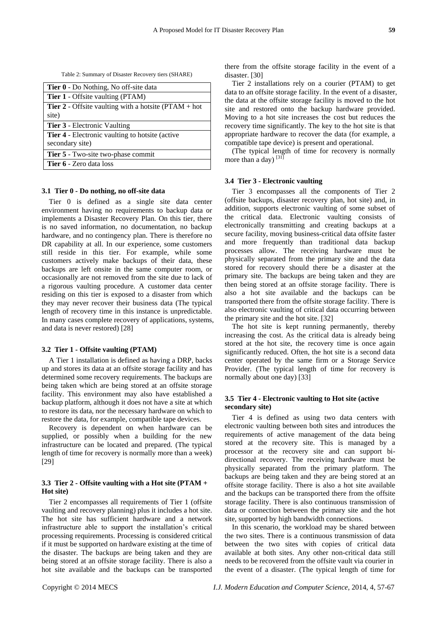Table 2: Summary of Disaster Recovery tiers (SHARE)

| <b>Tier 0</b> - Do Nothing, No off-site data                     |  |  |  |  |
|------------------------------------------------------------------|--|--|--|--|
| <b>Tier 1</b> - Offsite vaulting (PTAM)                          |  |  |  |  |
| <b>Tier 2</b> - Offsite vaulting with a hotsite ( $PTAM + hot$ ) |  |  |  |  |
| site)                                                            |  |  |  |  |
| <b>Tier 3</b> - Electronic Vaulting                              |  |  |  |  |
| <b>Tier 4</b> - Electronic vaulting to hotsite (active)          |  |  |  |  |
| secondary site)                                                  |  |  |  |  |
| Tier 5 - Two-site two-phase commit                               |  |  |  |  |
| <b>Tier 6</b> - Zero data loss                                   |  |  |  |  |

## **3.1 Tier 0 - Do nothing, no off-site data**

Tier 0 is defined as a single site data center environment having no requirements to backup data or implements a Disaster Recovery Plan. On this tier, there is no saved information, no documentation, no backup hardware, and no contingency plan. There is therefore no DR capability at all. In our experience, some customers still reside in this tier. For example, while some customers actively make backups of their data, these backups are left onsite in the same computer room, or occasionally are not removed from the site due to lack of a rigorous vaulting procedure. A customer data center residing on this tier is exposed to a disaster from which they may never recover their business data (The typical length of recovery time in this instance is unpredictable. In many cases complete recovery of applications, systems, and data is never restored) [28]

#### **3.2 Tier 1 - Offsite vaulting (PTAM)**

A Tier 1 installation is defined as having a DRP, backs up and stores its data at an offsite storage facility and has determined some recovery requirements. The backups are being taken which are being stored at an offsite storage facility. This environment may also have established a backup platform, although it does not have a site at which to restore its data, nor the necessary hardware on which to restore the data, for example, compatible tape devices.

Recovery is dependent on when hardware can be supplied, or possibly when a building for the new infrastructure can be located and prepared. (The typical length of time for recovery is normally more than a week) [29]

## **3.3 Tier 2 - Offsite vaulting with a Hot site (PTAM + Hot site)**

Tier 2 encompasses all requirements of Tier 1 (offsite vaulting and recovery planning) plus it includes a hot site. The hot site has sufficient hardware and a network infrastructure able to support the installation's critical processing requirements. Processing is considered critical if it must be supported on hardware existing at the time of the disaster. The backups are being taken and they are being stored at an offsite storage facility. There is also a hot site available and the backups can be transported there from the offsite storage facility in the event of a disaster. [30]

Tier 2 installations rely on a courier (PTAM) to get data to an offsite storage facility. In the event of a disaster, the data at the offsite storage facility is moved to the hot site and restored onto the backup hardware provided. Moving to a hot site increases the cost but reduces the recovery time significantly. The key to the hot site is that appropriate hardware to recover the data (for example, a compatible tape device) is present and operational.

(The typical length of time for recovery is normally more than a day)  $[31]$ 

#### **3.4 Tier 3 - Electronic vaulting**

Tier 3 encompasses all the components of Tier 2 (offsite backups, disaster recovery plan, hot site) and, in addition, supports electronic vaulting of some subset of the critical data. Electronic vaulting consists of electronically transmitting and creating backups at a secure facility, moving business-critical data offsite faster and more frequently than traditional data backup processes allow. The receiving hardware must be physically separated from the primary site and the data stored for recovery should there be a disaster at the primary site. The backups are being taken and they are then being stored at an offsite storage facility. There is also a hot site available and the backups can be transported there from the offsite storage facility. There is also electronic vaulting of critical data occurring between the primary site and the hot site. [32]

The hot site is kept running permanently, thereby increasing the cost. As the critical data is already being stored at the hot site, the recovery time is once again significantly reduced. Often, the hot site is a second data center operated by the same firm or a Storage Service Provider. (The typical length of time for recovery is normally about one day) [33]

## **3.5 Tier 4 - Electronic vaulting to Hot site (active secondary site)**

Tier 4 is defined as using two data centers with electronic vaulting between both sites and introduces the requirements of active management of the data being stored at the recovery site. This is managed by a processor at the recovery site and can support bidirectional recovery. The receiving hardware must be physically separated from the primary platform. The backups are being taken and they are being stored at an offsite storage facility. There is also a hot site available and the backups can be transported there from the offsite storage facility. There is also continuous transmission of data or connection between the primary site and the hot site, supported by high bandwidth connections.

In this scenario, the workload may be shared between the two sites. There is a continuous transmission of data between the two sites with copies of critical data available at both sites. Any other non-critical data still needs to be recovered from the offsite vault via courier in the event of a disaster. (The typical length of time for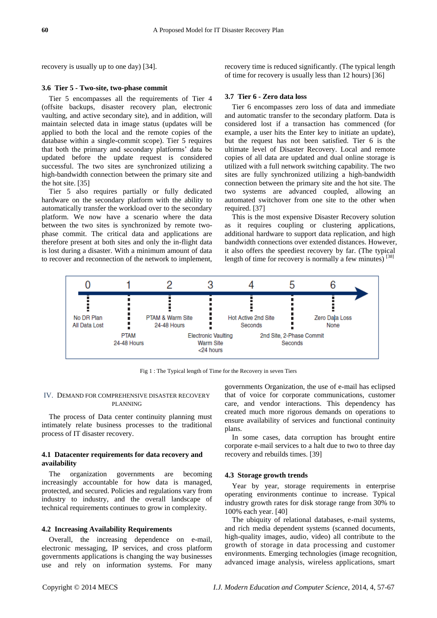recovery is usually up to one day) [34].

#### **3.6 Tier 5 - Two-site, two-phase commit**

Tier 5 encompasses all the requirements of Tier 4 (offsite backups, disaster recovery plan, electronic vaulting, and active secondary site), and in addition, will maintain selected data in image status (updates will be applied to both the local and the remote copies of the database within a single-commit scope). Tier 5 requires that both the primary and secondary platforms' data be updated before the update request is considered successful. The two sites are synchronized utilizing a high-bandwidth connection between the primary site and the hot site. [35]

Tier 5 also requires partially or fully dedicated hardware on the secondary platform with the ability to automatically transfer the workload over to the secondary platform. We now have a scenario where the data between the two sites is synchronized by remote twophase commit. The critical data and applications are therefore present at both sites and only the in-flight data is lost during a disaster. With a minimum amount of data to recover and reconnection of the network to implement,

recovery time is reduced significantly. (The typical length of time for recovery is usually less than 12 hours) [36]

#### **3.7 Tier 6 - Zero data loss**

Tier 6 encompasses zero loss of data and immediate and automatic transfer to the secondary platform. Data is considered lost if a transaction has commenced (for example, a user hits the Enter key to initiate an update), but the request has not been satisfied. Tier 6 is the ultimate level of Disaster Recovery. Local and remote copies of all data are updated and dual online storage is utilized with a full network switching capability. The two sites are fully synchronized utilizing a high-bandwidth connection between the primary site and the hot site. The two systems are advanced coupled, allowing an automated switchover from one site to the other when required. [37]

This is the most expensive Disaster Recovery solution as it requires coupling or clustering applications, additional hardware to support data replication, and high bandwidth connections over extended distances. However, it also offers the speediest recovery by far. (The typical length of time for recovery is normally a few minutes) [38]



Fig 1 : The Typical length of Time for the Recovery in seven Tiers

#### IV. DEMAND FOR COMPREHENSIVE DISASTER RECOVERY PLANNING

The process of Data center continuity planning must intimately relate business processes to the traditional process of IT disaster recovery.

## **4.1 Datacenter requirements for data recovery and availability**

The organization governments are becoming increasingly accountable for how data is managed, protected, and secured. Policies and regulations vary from industry to industry, and the overall landscape of technical requirements continues to grow in complexity.

## **4.2 Increasing Availability Requirements**

Overall, the increasing dependence on e-mail, electronic messaging, IP services, and cross platform governments applications is changing the way businesses use and rely on information systems. For many governments Organization, the use of e-mail has eclipsed that of voice for corporate communications, customer care, and vendor interactions. This dependency has created much more rigorous demands on operations to ensure availability of services and functional continuity plans.

In some cases, data corruption has brought entire corporate e-mail services to a halt due to two to three day recovery and rebuilds times. [39]

#### **4.3 Storage growth trends**

Year by year, storage requirements in enterprise operating environments continue to increase. Typical industry growth rates for disk storage range from 30% to 100% each year. [40]

The ubiquity of relational databases, e-mail systems, and rich media dependent systems (scanned documents, high-quality images, audio, video) all contribute to the growth of storage in data processing and customer environments. Emerging technologies (image recognition, advanced image analysis, wireless applications, smart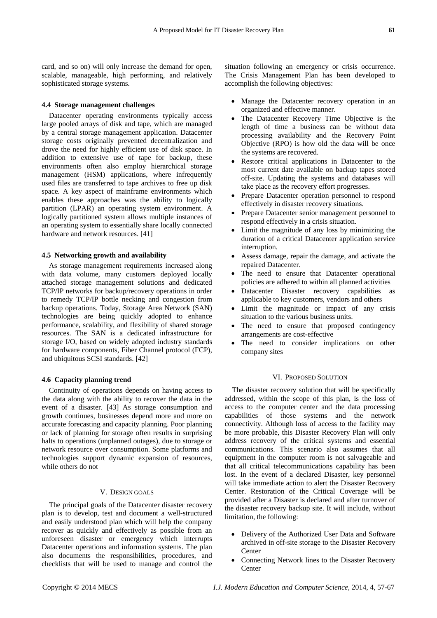card, and so on) will only increase the demand for open, scalable, manageable, high performing, and relatively sophisticated storage systems.

### **4.4 Storage management challenges**

Datacenter operating environments typically access large pooled arrays of disk and tape, which are managed by a central storage management application. Datacenter storage costs originally prevented decentralization and drove the need for highly efficient use of disk space. In addition to extensive use of tape for backup, these environments often also employ hierarchical storage management (HSM) applications, where infrequently used files are transferred to tape archives to free up disk space. A key aspect of mainframe environments which enables these approaches was the ability to logically partition (LPAR) an operating system environment. A logically partitioned system allows multiple instances of an operating system to essentially share locally connected hardware and network resources. [41]

#### **4.5 Networking growth and availability**

As storage management requirements increased along with data volume, many customers deployed locally attached storage management solutions and dedicated TCP/IP networks for backup/recovery operations in order to remedy TCP/IP bottle necking and congestion from backup operations. Today, Storage Area Network (SAN) technologies are being quickly adopted to enhance performance, scalability, and flexibility of shared storage resources. The SAN is a dedicated infrastructure for storage I/O, based on widely adopted industry standards for hardware components, Fiber Channel protocol (FCP), and ubiquitous SCSI standards. [42]

## **4.6 Capacity planning trend**

Continuity of operations depends on having access to the data along with the ability to recover the data in the event of a disaster. [43] As storage consumption and growth continues, businesses depend more and more on accurate forecasting and capacity planning. Poor planning or lack of planning for storage often results in surprising halts to operations (unplanned outages), due to storage or network resource over consumption. Some platforms and technologies support dynamic expansion of resources, while others do not

## V. DESIGN GOALS

The principal goals of the Datacenter disaster recovery plan is to develop, test and document a well-structured and easily understood plan which will help the company recover as quickly and effectively as possible from an unforeseen disaster or emergency which interrupts Datacenter operations and information systems. The plan also documents the responsibilities, procedures, and checklists that will be used to manage and control the

situation following an emergency or crisis occurrence. The Crisis Management Plan has been developed to accomplish the following objectives:

- Manage the Datacenter recovery operation in an organized and effective manner.
- The Datacenter Recovery Time Objective is the length of time a business can be without data processing availability and the Recovery Point Objective (RPO) is how old the data will be once the systems are recovered.
- Restore critical applications in Datacenter to the most current date available on backup tapes stored off-site. Updating the systems and databases will take place as the recovery effort progresses.
- Prepare Datacenter operation personnel to respond effectively in disaster recovery situations.
- Prepare Datacenter senior management personnel to respond effectively in a crisis situation.
- Limit the magnitude of any loss by minimizing the duration of a critical Datacenter application service interruption.
- Assess damage, repair the damage, and activate the repaired Datacenter.
- The need to ensure that Datacenter operational policies are adhered to within all planned activities
- Datacenter Disaster recovery capabilities as applicable to key customers, vendors and others
- Limit the magnitude or impact of any crisis situation to the various business units.
- The need to ensure that proposed contingency arrangements are cost-effective
- The need to consider implications on other company sites

#### VI. PROPOSED SOLUTION

The disaster recovery solution that will be specifically addressed, within the scope of this plan, is the loss of access to the computer center and the data processing capabilities of those systems and the network connectivity. Although loss of access to the facility may be more probable, this Disaster Recovery Plan will only address recovery of the critical systems and essential communications. This scenario also assumes that all equipment in the computer room is not salvageable and that all critical telecommunications capability has been lost. In the event of a declared Disaster, key personnel will take immediate action to alert the Disaster Recovery Center. Restoration of the Critical Coverage will be provided after a Disaster is declared and after turnover of the disaster recovery backup site. It will include, without limitation, the following:

- Delivery of the Authorized User Data and Software archived in off-site storage to the Disaster Recovery Center
- Connecting Network lines to the Disaster Recovery **Center**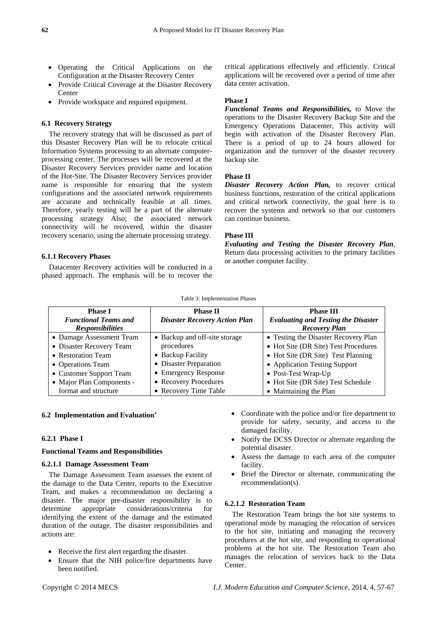- Operating the Critical Applications on the Configuration at the Disaster Recovery Center
- Provide Critical Coverage at the Disaster Recovery Center
- Provide workspace and required equipment.

# **6.1 Recovery Strategy**

The recovery strategy that will be discussed as part of this Disaster Recovery Plan will be to relocate critical Information Systems processing to an alternate computerprocessing center. The processes will be recovered at the Disaster Recovery Services provider name and location of the Hot-Site. The Disaster Recovery Services provider name is responsible for ensuring that the system configurations and the associated network requirements are accurate and technically feasible at all times. Therefore, yearly testing will be a part of the alternate processing strategy Also; the associated network connectivity will be recovered, within the disaster recovery scenario, using the alternate processing strategy.

#### **6.1.1 Recovery Phases**

Datacenter Recovery activities will be conducted in a phased approach. The emphasis will be to recover the

critical applications effectively and efficiently. Critical applications will be recovered over a period of time after data center activation.

#### **Phase I**

*Functional Teams and Responsibilities,* to Move the operations to the Disaster Recovery Backup Site and the Emergency Operations Datacenter, This activity will begin with activation of the Disaster Recovery Plan. There is a period of up to 24 hours allowed for organization and the turnover of the disaster recovery backup site.

# **Phase II**

*Disaster Recovery Action Plan,* to recover critical business functions, restoration of the critical applications and critical network connectivity, the goal here is to recover the systems and network so that our customers can continue business.

## **Phase III**

*Evaluating and Testing the Disaster Recovery Plan*, Return data processing activities to the primary facilities or another computer facility.

#### Table 3: Implementation Phases

| <b>Phase I</b>              | <b>Phase II</b>                      | <b>Phase III</b>                           |
|-----------------------------|--------------------------------------|--------------------------------------------|
| <b>Functional Teams and</b> | <b>Disaster Recovery Action Plan</b> | <b>Evaluating and Testing the Disaster</b> |
| <b>Responsibilities</b>     |                                      | <b>Recovery Plan</b>                       |
| • Damage Assessment Team    | • Backup and off-site storage        | • Testing the Disaster Recovery Plan       |
| • Disaster Recovery Team    | procedures                           | • Hot Site (DR Site) Test Procedures       |
| • Restoration Team          | • Backup Facility                    | • Hot Site (DR Site) Test Planning         |
| • Operations Team           | • Disaster Preparation               | • Application Testing Support              |
| • Customer Support Team     | • Emergency Response                 | • Post-Test Wrap-Up                        |
| • Major Plan Components -   | • Recovery Procedures                | • Hot Site (DR Site) Test Schedule         |
| format and structure        | • Recovery Time Table                | • Maintaining the Plan                     |

#### **6.2 Implementation and Evaluation'**

## **6.2.1 Phase I**

#### **Functional Teams and Responsibilities**

#### **6.2.1.1 Damage Assessment Team**

The Damage Assessment Team assesses the extent of the damage to the Data Center, reports to the Executive Team, and makes a recommendation on declaring a disaster. The major pre-disaster responsibility is to determine appropriate considerations/criteria for identifying the extent of the damage and the estimated duration of the outage. The disaster responsibilities and actions are:

- Receive the first alert regarding the disaster.
- Ensure that the NIH police/fire departments have been notified.
- Coordinate with the police and/or fire department to provide for safety, security, and access to the damaged facility.
- Notify the DCSS Director or alternate regarding the potential disaster.
- Assess the damage to each area of the computer facility.
- Brief the Director or alternate, communicating the recommendation(s).

#### **6.2.1.2 Restoration Team**

The Restoration Team brings the hot site systems to operational mode by managing the relocation of services to the hot site, initiating and managing the recovery procedures at the hot site, and responding to operational problems at the hot site. The Restoration Team also manages the relocation of services back to the Data Center.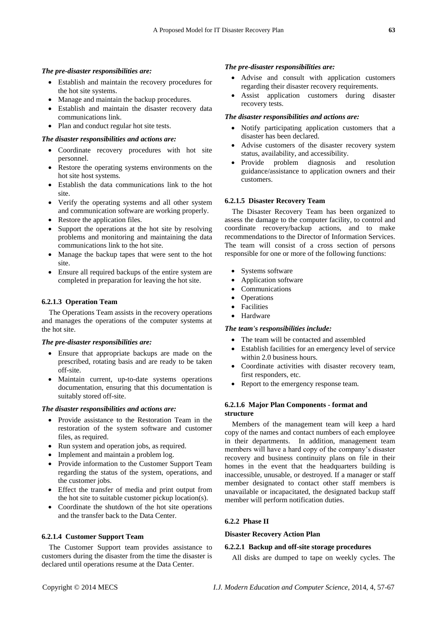### *The pre-disaster responsibilities are:*

- Establish and maintain the recovery procedures for the hot site systems.
- Manage and maintain the backup procedures.
- Establish and maintain the disaster recovery data communications link.
- Plan and conduct regular hot site tests.

*The disaster responsibilities and actions are:*

- Coordinate recovery procedures with hot site personnel.
- Restore the operating systems environments on the hot site host systems.
- Establish the data communications link to the hot site.
- Verify the operating systems and all other system and communication software are working properly.
- Restore the application files.
- Support the operations at the hot site by resolving problems and monitoring and maintaining the data communications link to the hot site.
- Manage the backup tapes that were sent to the hot site.
- Ensure all required backups of the entire system are completed in preparation for leaving the hot site.

#### **6.2.1.3 Operation Team**

The Operations Team assists in the recovery operations and manages the operations of the computer systems at the hot site.

# *The pre-disaster responsibilities are:*

- Ensure that appropriate backups are made on the prescribed, rotating basis and are ready to be taken off-site.
- Maintain current, up-to-date systems operations documentation, ensuring that this documentation is suitably stored off-site.

## *The disaster responsibilities and actions are:*

- Provide assistance to the Restoration Team in the restoration of the system software and customer files, as required.
- Run system and operation jobs, as required.
- Implement and maintain a problem log.
- Provide information to the Customer Support Team regarding the status of the system, operations, and the customer jobs.
- Effect the transfer of media and print output from the hot site to suitable customer pickup location(s).
- Coordinate the shutdown of the hot site operations and the transfer back to the Data Center.

#### **6.2.1.4 Customer Support Team**

The Customer Support team provides assistance to customers during the disaster from the time the disaster is declared until operations resume at the Data Center.

## *The pre-disaster responsibilities are:*

- Advise and consult with application customers regarding their disaster recovery requirements.
- Assist application customers during disaster recovery tests.

#### *The disaster responsibilities and actions are:*

- Notify participating application customers that a disaster has been declared.
- Advise customers of the disaster recovery system status, availability, and accessibility.
- Provide problem diagnosis and resolution guidance/assistance to application owners and their customers.

## **6.2.1.5 Disaster Recovery Team**

The Disaster Recovery Team has been organized to assess the damage to the computer facility, to control and coordinate recovery/backup actions, and to make recommendations to the Director of Information Services. The team will consist of a cross section of persons responsible for one or more of the following functions:

- Systems software
- Application software
- Communications
- Operations
- Facilities
- Hardware

# *The team's responsibilities include:*

- The team will be contacted and assembled
- Establish facilities for an emergency level of service within 2.0 business hours.
- Coordinate activities with disaster recovery team, first responders, etc.
- Report to the emergency response team.

# **6.2.1.6 Major Plan Components - format and structure**

Members of the management team will keep a hard copy of the names and contact numbers of each employee in their departments. In addition, management team members will have a hard copy of the company's disaster recovery and business continuity plans on file in their homes in the event that the headquarters building is inaccessible, unusable, or destroyed. If a manager or staff member designated to contact other staff members is unavailable or incapacitated, the designated backup staff member will perform notification duties.

## **6.2.2 Phase II**

## **Disaster Recovery Action Plan**

#### **6.2.2.1 Backup and off-site storage procedures**

All disks are dumped to tape on weekly cycles. The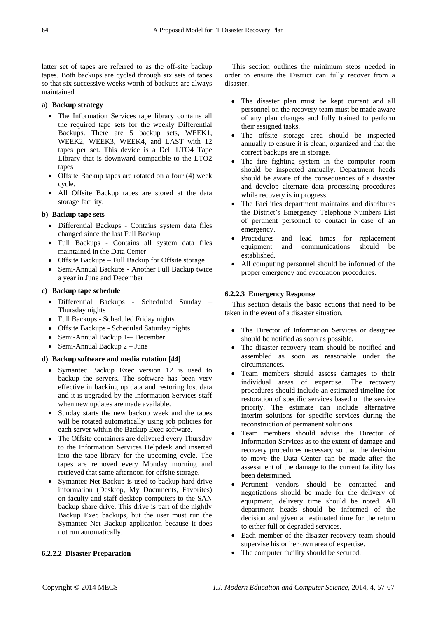latter set of tapes are referred to as the off-site backup tapes. Both backups are cycled through six sets of tapes so that six successive weeks worth of backups are always maintained.

## **a) Backup strategy**

- The Information Services tape library contains all the required tape sets for the weekly Differential Backups. There are 5 backup sets, WEEK1, WEEK2, WEEK3, WEEK4, and LAST with 12 tapes per set. This device is a Dell LTO4 Tape Library that is downward compatible to the LTO2 tapes
- Offsite Backup tapes are rotated on a four (4) week cycle.
- All Offsite Backup tapes are stored at the data storage facility.

# **b) Backup tape sets**

- Differential Backups Contains system data files changed since the last Full Backup
- Full Backups Contains all system data files maintained in the Data Center
- Offsite Backups Full Backup for Offsite storage
- Semi-Annual Backups Another Full Backup twice a year in June and December

# **c) Backup tape schedule**

- Differential Backups Scheduled Sunday Thursday nights
- Full Backups Scheduled Friday nights
- Offsite Backups Scheduled Saturday nights
- Semi-Annual Backup 1-– December
- Semi-Annual Backup 2 June

## **d) Backup software and media rotation [44]**

- Symantec Backup Exec version 12 is used to backup the servers. The software has been very effective in backing up data and restoring lost data and it is upgraded by the Information Services staff when new updates are made available.
- Sunday starts the new backup week and the tapes will be rotated automatically using job policies for each server within the Backup Exec software.
- The Offsite containers are delivered every Thursday to the Information Services Helpdesk and inserted into the tape library for the upcoming cycle. The tapes are removed every Monday morning and retrieved that same afternoon for offsite storage.
- Symantec Net Backup is used to backup hard drive information (Desktop, My Documents, Favorites) on faculty and staff desktop computers to the SAN backup share drive. This drive is part of the nightly Backup Exec backups, but the user must run the Symantec Net Backup application because it does not run automatically.

## **6.2.2.2 Disaster Preparation**

This section outlines the minimum steps needed in order to ensure the District can fully recover from a disaster.

- The disaster plan must be kept current and all personnel on the recovery team must be made aware of any plan changes and fully trained to perform their assigned tasks.
- The offsite storage area should be inspected annually to ensure it is clean, organized and that the correct backups are in storage.
- The fire fighting system in the computer room should be inspected annually. Department heads should be aware of the consequences of a disaster and develop alternate data processing procedures while recovery is in progress.
- The Facilities department maintains and distributes the District's Emergency Telephone Numbers List of pertinent personnel to contact in case of an emergency.
- Procedures and lead times for replacement equipment and communications should be established.
- All computing personnel should be informed of the proper emergency and evacuation procedures.

# **6.2.2.3 Emergency Response**

This section details the basic actions that need to be taken in the event of a disaster situation.

- The Director of Information Services or designee should be notified as soon as possible.
- The disaster recovery team should be notified and assembled as soon as reasonable under the circumstances.
- Team members should assess damages to their individual areas of expertise. The recovery procedures should include an estimated timeline for restoration of specific services based on the service priority. The estimate can include alternative interim solutions for specific services during the reconstruction of permanent solutions.
- Team members should advise the Director of Information Services as to the extent of damage and recovery procedures necessary so that the decision to move the Data Center can be made after the assessment of the damage to the current facility has been determined.
- Pertinent vendors should be contacted and negotiations should be made for the delivery of equipment, delivery time should be noted. All department heads should be informed of the decision and given an estimated time for the return to either full or degraded services.
- Each member of the disaster recovery team should supervise his or her own area of expertise.
- The computer facility should be secured.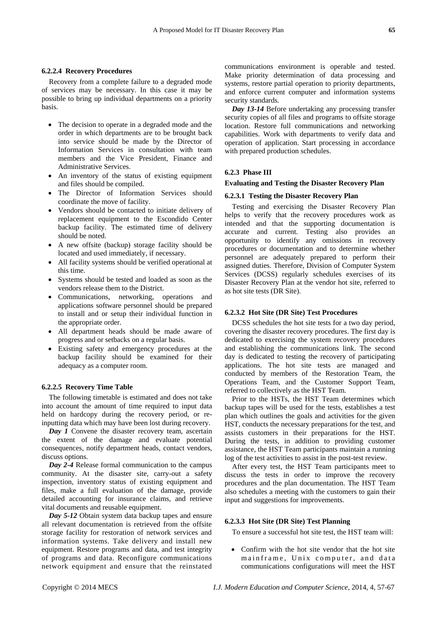#### **6.2.2.4 Recovery Procedures**

Recovery from a complete failure to a degraded mode of services may be necessary. In this case it may be possible to bring up individual departments on a priority basis.

- The decision to operate in a degraded mode and the order in which departments are to be brought back into service should be made by the Director of Information Services in consultation with team members and the Vice President, Finance and Administrative Services.
- An inventory of the status of existing equipment and files should be compiled.
- The Director of Information Services should coordinate the move of facility.
- Vendors should be contacted to initiate delivery of replacement equipment to the Escondido Center backup facility. The estimated time of delivery should be noted.
- A new offsite (backup) storage facility should be located and used immediately, if necessary.
- All facility systems should be verified operational at this time.
- Systems should be tested and loaded as soon as the vendors release them to the District.
- Communications, networking, operations and applications software personnel should be prepared to install and or setup their individual function in the appropriate order.
- All department heads should be made aware of progress and or setbacks on a regular basis.
- Existing safety and emergency procedures at the backup facility should be examined for their adequacy as a computer room.

#### **6.2.2.5 Recovery Time Table**

The following timetable is estimated and does not take into account the amount of time required to input data held on hardcopy during the recovery period, or reinputting data which may have been lost during recovery.

*Day 1* Convene the disaster recovery team, ascertain the extent of the damage and evaluate potential consequences, notify department heads, contact vendors, discuss options.

*Day 2-4* Release formal communication to the campus community. At the disaster site, carry-out a safety inspection, inventory status of existing equipment and files, make a full evaluation of the damage, provide detailed accounting for insurance claims, and retrieve vital documents and reusable equipment.

*Day 5-12* Obtain system data backup tapes and ensure all relevant documentation is retrieved from the offsite storage facility for restoration of network services and information systems. Take delivery and install new equipment. Restore programs and data, and test integrity of programs and data. Reconfigure communications network equipment and ensure that the reinstated communications environment is operable and tested. Make priority determination of data processing and systems, restore partial operation to priority departments, and enforce current computer and information systems security standards.

*Day 13-14* Before undertaking any processing transfer security copies of all files and programs to offsite storage location. Restore full communications and networking capabilities. Work with departments to verify data and operation of application. Start processing in accordance with prepared production schedules.

## **6.2.3 Phase III**

#### **Evaluating and Testing the Disaster Recovery Plan**

# **6.2.3.1 Testing the Disaster Recovery Plan**

Testing and exercising the Disaster Recovery Plan helps to verify that the recovery procedures work as intended and that the supporting documentation is accurate and current. Testing also provides an opportunity to identify any omissions in recovery procedures or documentation and to determine whether personnel are adequately prepared to perform their assigned duties. Therefore, Division of Computer System Services (DCSS) regularly schedules exercises of its Disaster Recovery Plan at the vendor hot site, referred to as hot site tests (DR Site).

#### **6.2.3.2 Hot Site (DR Site) Test Procedures**

DCSS schedules the hot site tests for a two day period, covering the disaster recovery procedures. The first day is dedicated to exercising the system recovery procedures and establishing the communications link. The second day is dedicated to testing the recovery of participating applications. The hot site tests are managed and conducted by members of the Restoration Team, the Operations Team, and the Customer Support Team, referred to collectively as the HST Team.

Prior to the HSTs, the HST Team determines which backup tapes will be used for the tests, establishes a test plan which outlines the goals and activities for the given HST, conducts the necessary preparations for the test, and assists customers in their preparations for the HST. During the tests, in addition to providing customer assistance, the HST Team participants maintain a running log of the test activities to assist in the post-test review.

After every test, the HST Team participants meet to discuss the tests in order to improve the recovery procedures and the plan documentation. The HST Team also schedules a meeting with the customers to gain their input and suggestions for improvements.

## **6.2.3.3 Hot Site (DR Site) Test Planning**

To ensure a successful hot site test, the HST team will:

 Confirm with the hot site vendor that the hot site mainframe, Unix computer, and data communications configurations will meet the HST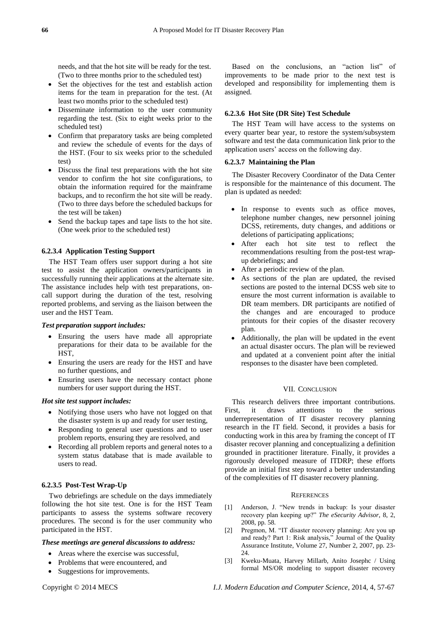needs, and that the hot site will be ready for the test. (Two to three months prior to the scheduled test)

- Set the objectives for the test and establish action items for the team in preparation for the test. (At least two months prior to the scheduled test)
- Disseminate information to the user community regarding the test. (Six to eight weeks prior to the scheduled test)
- Confirm that preparatory tasks are being completed and review the schedule of events for the days of the HST. (Four to six weeks prior to the scheduled test)
- Discuss the final test preparations with the hot site vendor to confirm the hot site configurations, to obtain the information required for the mainframe backups, and to reconfirm the hot site will be ready. (Two to three days before the scheduled backups for the test will be taken)
- Send the backup tapes and tape lists to the hot site. (One week prior to the scheduled test)

# **6.2.3.4 Application Testing Support**

The HST Team offers user support during a hot site test to assist the application owners/participants in successfully running their applications at the alternate site. The assistance includes help with test preparations, oncall support during the duration of the test, resolving reported problems, and serving as the liaison between the user and the HST Team.

## *Test preparation support includes:*

- Ensuring the users have made all appropriate preparations for their data to be available for the HST,
- Ensuring the users are ready for the HST and have no further questions, and
- Ensuring users have the necessary contact phone numbers for user support during the HST.

## *Hot site test support includes:*

- Notifying those users who have not logged on that the disaster system is up and ready for user testing,
- Responding to general user questions and to user problem reports, ensuring they are resolved, and
- Recording all problem reports and general notes to a system status database that is made available to users to read.

## **6.2.3.5 Post-Test Wrap-Up**

Two debriefings are schedule on the days immediately following the hot site test. One is for the HST Team participants to assess the systems software recovery procedures. The second is for the user community who participated in the HST.

## *These meetings are general discussions to address:*

- Areas where the exercise was successful,
- Problems that were encountered, and
- Suggestions for improvements.

Based on the conclusions, an "action list" of improvements to be made prior to the next test is developed and responsibility for implementing them is assigned.

## **6.2.3.6 Hot Site (DR Site) Test Schedule**

The HST Team will have access to the systems on every quarter bear year, to restore the system/subsystem software and test the data communication link prior to the application users' access on the following day.

#### **6.2.3.7 Maintaining the Plan**

The Disaster Recovery Coordinator of the Data Center is responsible for the maintenance of this document. The plan is updated as needed:

- In response to events such as office moves, telephone number changes, new personnel joining DCSS, retirements, duty changes, and additions or deletions of participating applications;
- After each hot site test to reflect the recommendations resulting from the post-test wrapup debriefings; and
- After a periodic review of the plan.
- As sections of the plan are updated, the revised sections are posted to the internal DCSS web site to ensure the most current information is available to DR team members. DR participants are notified of the changes and are encouraged to produce printouts for their copies of the disaster recovery plan.
- Additionally, the plan will be updated in the event an actual disaster occurs. The plan will be reviewed and updated at a convenient point after the initial responses to the disaster have been completed.

#### VII. CONCLUSION

This research delivers three important contributions. First, it draws attentions to the serious underrepresentation of IT disaster recovery planning research in the IT field. Second, it provides a basis for conducting work in this area by framing the concept of IT disaster recover planning and conceptualizing a definition grounded in practitioner literature. Finally, it provides a rigorously developed measure of ITDRP; these efforts provide an initial first step toward a better understanding of the complexities of IT disaster recovery planning.

#### **REFERENCES**

- [1] Anderson, J. "New trends in backup: Is your disaster recovery plan keeping up?" The eSecurity Advisor, 8, 2, 2008, pp. 58.
- [2] Pregmon, M. "IT disaster recovery planning: Are you up and ready? Part 1: Risk analysis," Journal of the Quality Assurance Institute, Volume 27, Number 2, 2007, pp. 23- 24.
- [3] Kweku-Muata, Harvey Millarb, Anito Josephc / Using formal MS/OR modeling to support disaster recovery